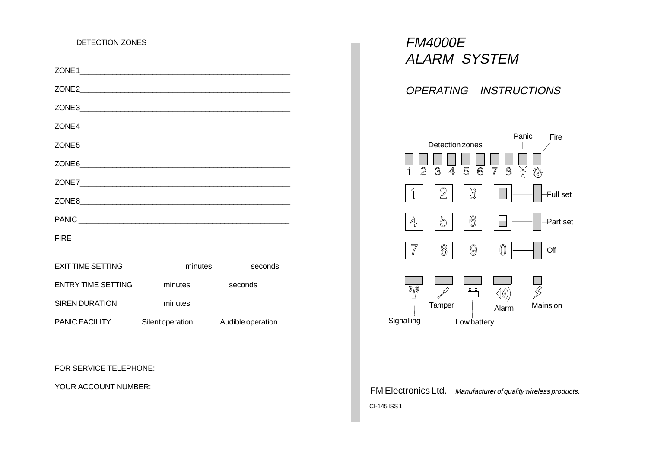# DETECTION ZONES

| <b>EXIT TIME SETTING</b>  | minutes          | seconds           |
|---------------------------|------------------|-------------------|
| <b>ENTRY TIME SETTING</b> | minutes          | seconds           |
| <b>SIREN DURATION</b>     | minutes          |                   |
| PANIC FACILITY            | Silent operation | Audible operation |

FOR SERVICE TELEPHONE:

YOUR ACCOUNT NUMBER:

FM4000E ALARM SYSTEM

OPERATING INSTRUCTIONS



FM Electronics Ltd. Manufacturer of quality wireless products. CI-145 ISS 1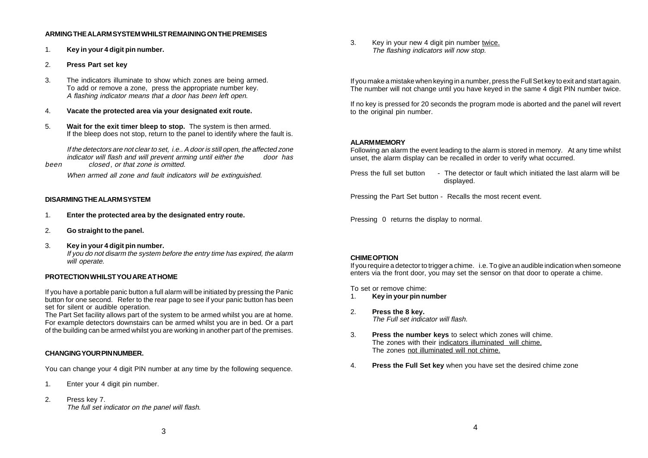#### **ARMING THE ALARM SYSTEM WHILST REMAINING ON THE PREMISES**

- 1. **Key in your 4 digit pin number.**
- 2. **Press Part set key**
- 3. The indicators illuminate to show which zones are being armed. To add or remove a zone, press the appropriate number key. A flashing indicator means that a door has been left open.
- 4. **Vacate the protected area via your designated exit route.**
- 5. **Wait for the exit timer bleep to stop.** The system is then armed. If the bleep does not stop, return to the panel to identify where the fault is.

If the detectors are not clear to set, i.e.. A door is still open, the affected zone indicator will flash and will prevent arming until either the door has been closed, or that zone is omitted.

When armed all zone and fault indicators will be extinguished.

### **DISARMING THE ALARM SYSTEM**

- 1. **Enter the protected area by the designated entry route.**
- 2. **Go straight to the panel.**
- 3. **Key in your 4 digit pin number.** If you do not disarm the system before the entry time has expired, the alarm will operate.

# **PROTECTION WHILST YOU ARE AT HOME**

If you have a portable panic button a full alarm will be initiated by pressing the Panic button for one second. Refer to the rear page to see if your panic button has been set for silent or audible operation.

The Part Set facility allows part of the system to be armed whilst you are at home. For example detectors downstairs can be armed whilst you are in bed. Or a part of the building can be armed whilst you are working in another part of the premises.

# **CHANGING YOUR PIN NUMBER.**

You can change your 4 digit PIN number at any time by the following sequence.

- 1. Enter your 4 digit pin number.
- 2. Press key 7. The full set indicator on the panel will flash.

3. Key in your new 4 digit pin number twice. The flashing indicators will now stop.

If you make a mistake when keying in a number, press the Full Set key to exit and start again. The number will not change until you have keyed in the same 4 digit PIN number twice.

If no key is pressed for 20 seconds the program mode is aborted and the panel will revert to the original pin number.

# **ALARM MEMORY**

Following an alarm the event leading to the alarm is stored in memory. At any time whilst unset, the alarm display can be recalled in order to verify what occurred.

Press the full set button - The detector or fault which initiated the last alarm will be displayed.

Pressing the Part Set button - Recalls the most recent event.

Pressing 0 returns the display to normal.

#### **CHIME OPTION**

If you require a detector to trigger a chime. i.e. To give an audible indication when someone enters via the front door, you may set the sensor on that door to operate a chime.

To set or remove chime:

- 1. **Key in your pin number**
- 2. **Press the 8 key.** The Full set indicator will flash.
- 3. **Press the number keys** to select which zones will chime. The zones with their indicators illuminated will chime. The zones not illuminated will not chime.
- 4. **Press the Full Set key** when you have set the desired chime zone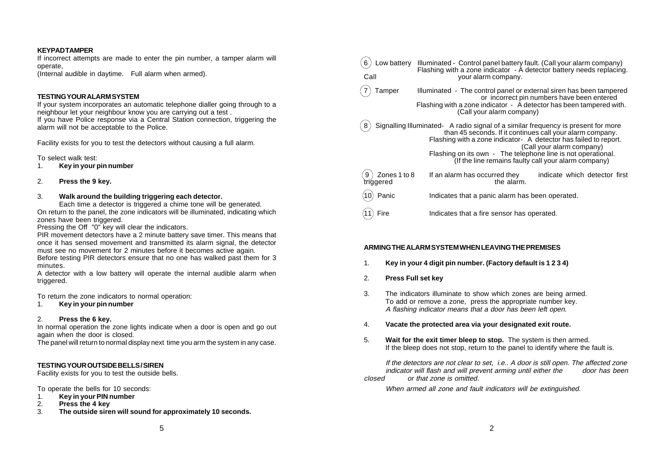#### **KEYPAD TAMPER**

If incorrect attempts are made to enter the pin number, a tamper alarm will operate,

(Internal audible in daytime. Full alarm when armed).

#### **TESTING YOUR ALARM SYSTEM**

If your system incorporates an automatic telephone dialler going through to a neighbour let your neighbour know you are carrying out a test . If you have Police response via a Central Station connection, triggering the alarm will not be acceptable to the Police.

Facility exists for you to test the detectors without causing a full alarm.

To select walk test:

- 1. **Key in your pin number**
- 2. **Press the 9 key.**

#### 3. **Walk around the building triggering each detector.**

Each time a detector is triggered a chime tone will be generated. On return to the panel, the zone indicators will be illuminated, indicating which zones have been triggered.

Pressing the Off "0" key will clear the indicators.

PIR movement detectors have a 2 minute battery save timer. This means that once it has sensed movement and transmitted its alarm signal, the detector must see no movement for 2 minutes before it becomes active again.

Before testing PIR detectors ensure that no one has walked past them for 3 minutes.

A detector with a low battery will operate the internal audible alarm when triggered.

To return the zone indicators to normal operation:

1. **Key in your pin number**

#### 2. **Press the 6 key.**

In normal operation the zone lights indicate when a door is open and go out again when the door is closed.

The panel will return to normal display next time you arm the system in any case.

# **TESTING YOUR OUTSIDE BELLS / SIREN**

Facility exists for you to test the outside bells.

To operate the bells for 10 seconds:

- 1. **Key in your PIN number**
- 2. **Press the 4 key**
- 3. **The outside siren will sound for approximately 10 seconds.**

| Low battery<br>Call            | Illuminated - Control panel battery fault. (Call your alarm company)<br>Flashing with a zone indicator - A detector battery needs replacing.<br>your alarm company.                                                                                                                                                                                                     |  |
|--------------------------------|-------------------------------------------------------------------------------------------------------------------------------------------------------------------------------------------------------------------------------------------------------------------------------------------------------------------------------------------------------------------------|--|
| Tamper                         | Illuminated - The control panel or external siren has been tampered<br>or incorrect pin numbers have been entered<br>Flashing with a zone indicator - A detector has been tampered with.<br>(Call your alarm company)                                                                                                                                                   |  |
|                                | Signalling Illuminated- A radio signal of a similar frequency is present for more<br>than 45 seconds. If it continues call your alarm company.<br>Flashing with a zone indicator- A detector has failed to report.<br>(Call your alarm company)<br>Flashing on its own - The telephone line is not operational.<br>(If the line remains faulty call your alarm company) |  |
| Zones 1 to 8<br>9<br>triggered | If an alarm has occurred they<br>indicate which detector first<br>the alarm.                                                                                                                                                                                                                                                                                            |  |
| Panic                          | Indicates that a panic alarm has been operated.                                                                                                                                                                                                                                                                                                                         |  |
| Fire                           | Indicates that a fire sensor has operated.                                                                                                                                                                                                                                                                                                                              |  |

# **ARMING THE ALARM SYSTEM WHEN LEAVING THE PREMISES**

- 1. **Key in your 4 digit pin number. (Factory default is 1 2 3 4)**
- 2. **Press Full set key**
- 3. The indicators illuminate to show which zones are being armed. To add or remove a zone, press the appropriate number key. A flashing indicator means that a door has been left open.
- 4. **Vacate the protected area via your designated exit route.**
- 5. **Wait for the exit timer bleep to stop.** The system is then armed. If the bleep does not stop, return to the panel to identify where the fault is.

If the detectors are not clear to set, i.e.. A door is still open. The affected zone indicator will flash and will prevent arming until either the closed or that zone is omitted.

When armed all zone and fault indicators will be extinguished.